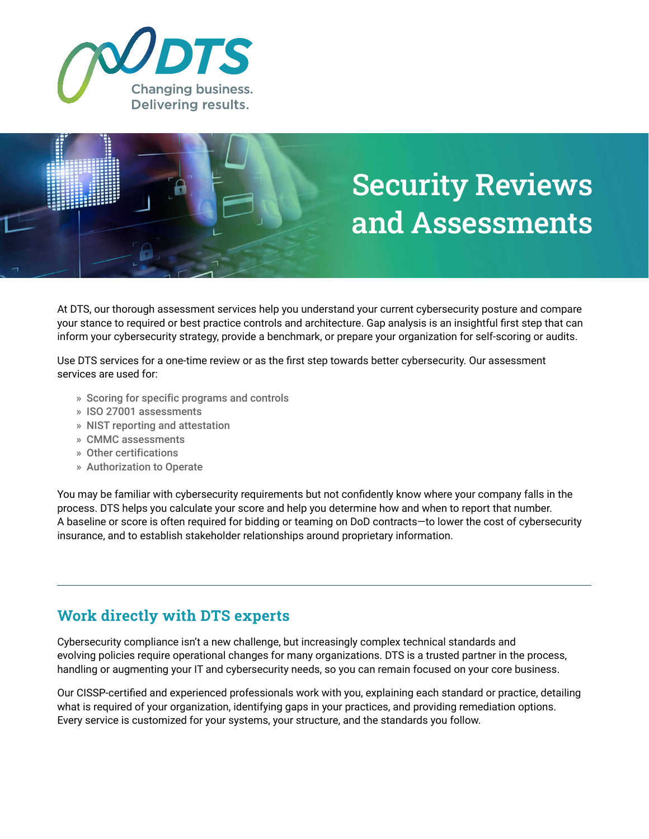



At DTS, our thorough assessment services help you understand your current cybersecurity posture and compare your stance to required or best practice controls and architecture. Gap analysis is an insightful first step that can inform your cybersecurity strategy, provide a benchmark, or prepare your organization for self-scoring or audits.

Use DTS services for a one-time review or as the first step towards better cybersecurity. Our assessment services are used for:

- » Scoring for specific programs and controls
- » ISO 27001 assessments
- » NIST reporting and attestation
- » CMMC assessments
- » Other certifications
- » Authorization to Operate

You may be familiar with cybersecurity requirements but not confidently know where your company falls in the process. DTS helps you calculate your score and help you determine how and when to report that number. A baseline or score is often required for bidding or teaming on DoD contracts—to lower the cost of cybersecurity insurance, and to establish stakeholder relationships around proprietary information.

## **Work directly with DTS experts**

Cybersecurity compliance isn't a new challenge, but increasingly complex technical standards and evolving policies require operational changes for many organizations. DTS is a trusted partner in the process, handling or augmenting your IT and cybersecurity needs, so you can remain focused on your core business.

Our CISSP-certified and experienced professionals work with you, explaining each standard or practice, detailing what is required of your organization, identifying gaps in your practices, and providing remediation options. Every service is customized for your systems, your structure, and the standards you follow.